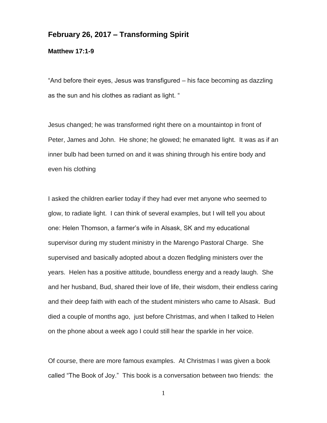## **February 26, 2017 – Transforming Spirit**

**Matthew 17:1-9**

"And before their eyes, Jesus was transfigured – his face becoming as dazzling as the sun and his clothes as radiant as light. "

Jesus changed; he was transformed right there on a mountaintop in front of Peter, James and John. He shone; he glowed; he emanated light. It was as if an inner bulb had been turned on and it was shining through his entire body and even his clothing

I asked the children earlier today if they had ever met anyone who seemed to glow, to radiate light. I can think of several examples, but I will tell you about one: Helen Thomson, a farmer's wife in Alsask, SK and my educational supervisor during my student ministry in the Marengo Pastoral Charge. She supervised and basically adopted about a dozen fledgling ministers over the years. Helen has a positive attitude, boundless energy and a ready laugh. She and her husband, Bud, shared their love of life, their wisdom, their endless caring and their deep faith with each of the student ministers who came to Alsask. Bud died a couple of months ago, just before Christmas, and when I talked to Helen on the phone about a week ago I could still hear the sparkle in her voice.

Of course, there are more famous examples. At Christmas I was given a book called "The Book of Joy." This book is a conversation between two friends: the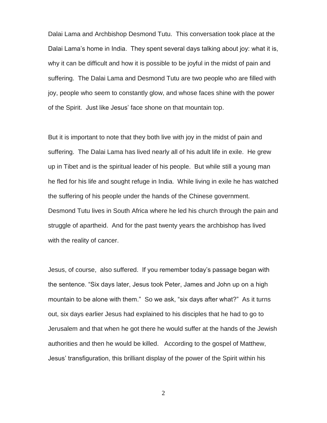Dalai Lama and Archbishop Desmond Tutu. This conversation took place at the Dalai Lama's home in India. They spent several days talking about joy: what it is, why it can be difficult and how it is possible to be joyful in the midst of pain and suffering. The Dalai Lama and Desmond Tutu are two people who are filled with joy, people who seem to constantly glow, and whose faces shine with the power of the Spirit. Just like Jesus' face shone on that mountain top.

But it is important to note that they both live with joy in the midst of pain and suffering. The Dalai Lama has lived nearly all of his adult life in exile. He grew up in Tibet and is the spiritual leader of his people. But while still a young man he fled for his life and sought refuge in India. While living in exile he has watched the suffering of his people under the hands of the Chinese government. Desmond Tutu lives in South Africa where he led his church through the pain and struggle of apartheid. And for the past twenty years the archbishop has lived with the reality of cancer.

Jesus, of course, also suffered. If you remember today's passage began with the sentence. "Six days later, Jesus took Peter, James and John up on a high mountain to be alone with them." So we ask, "six days after what?" As it turns out, six days earlier Jesus had explained to his disciples that he had to go to Jerusalem and that when he got there he would suffer at the hands of the Jewish authorities and then he would be killed. According to the gospel of Matthew, Jesus' transfiguration, this brilliant display of the power of the Spirit within his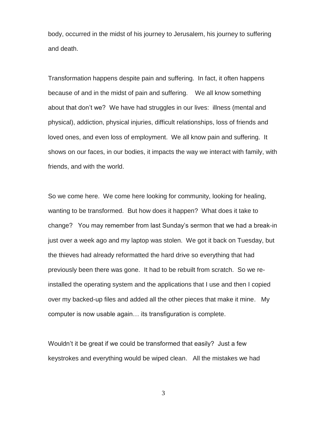body, occurred in the midst of his journey to Jerusalem, his journey to suffering and death.

Transformation happens despite pain and suffering. In fact, it often happens because of and in the midst of pain and suffering. We all know something about that don't we? We have had struggles in our lives: illness (mental and physical), addiction, physical injuries, difficult relationships, loss of friends and loved ones, and even loss of employment. We all know pain and suffering. It shows on our faces, in our bodies, it impacts the way we interact with family, with friends, and with the world.

So we come here. We come here looking for community, looking for healing, wanting to be transformed. But how does it happen? What does it take to change? You may remember from last Sunday's sermon that we had a break-in just over a week ago and my laptop was stolen. We got it back on Tuesday, but the thieves had already reformatted the hard drive so everything that had previously been there was gone. It had to be rebuilt from scratch. So we reinstalled the operating system and the applications that I use and then I copied over my backed-up files and added all the other pieces that make it mine. My computer is now usable again… its transfiguration is complete.

Wouldn't it be great if we could be transformed that easily? Just a few keystrokes and everything would be wiped clean. All the mistakes we had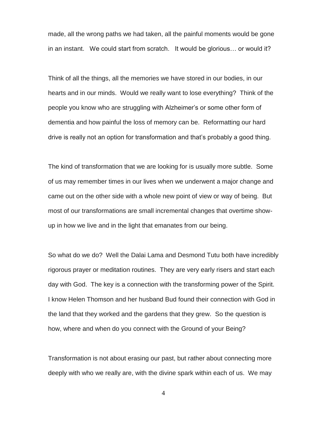made, all the wrong paths we had taken, all the painful moments would be gone in an instant. We could start from scratch. It would be glorious… or would it?

Think of all the things, all the memories we have stored in our bodies, in our hearts and in our minds. Would we really want to lose everything? Think of the people you know who are struggling with Alzheimer's or some other form of dementia and how painful the loss of memory can be. Reformatting our hard drive is really not an option for transformation and that's probably a good thing.

The kind of transformation that we are looking for is usually more subtle. Some of us may remember times in our lives when we underwent a major change and came out on the other side with a whole new point of view or way of being. But most of our transformations are small incremental changes that overtime showup in how we live and in the light that emanates from our being.

So what do we do? Well the Dalai Lama and Desmond Tutu both have incredibly rigorous prayer or meditation routines. They are very early risers and start each day with God. The key is a connection with the transforming power of the Spirit. I know Helen Thomson and her husband Bud found their connection with God in the land that they worked and the gardens that they grew. So the question is how, where and when do you connect with the Ground of your Being?

Transformation is not about erasing our past, but rather about connecting more deeply with who we really are, with the divine spark within each of us. We may